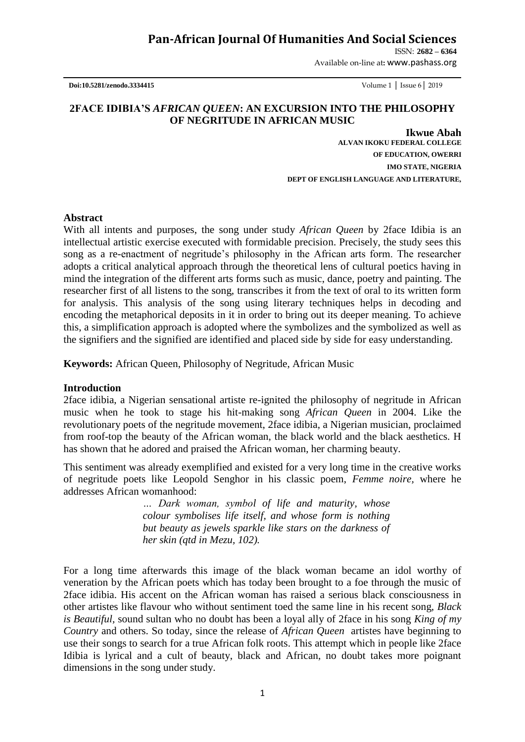## **Pan-African Journal Of Humanities And Social Sciences**

ISSN: **2682 – 6364**

Available on-line at**:** www.pashass.org

 **Doi:10.5281/zenodo.3334415** Volume 1 │ Issue 6│ 2019

## **2FACE IDIBIA'S** *AFRICAN QUEEN***: AN EXCURSION INTO THE PHILOSOPHY OF NEGRITUDE IN AFRICAN MUSIC**

 **Ikwue Abah ALVAN IKOKU FEDERAL COLLEGE OF EDUCATION, OWERRI IMO STATE, NIGERIA DEPT OF ENGLISH LANGUAGE AND LITERATURE,** 

### **Abstract**

With all intents and purposes, the song under study *African Queen* by 2face Idibia is an intellectual artistic exercise executed with formidable precision. Precisely, the study sees this song as a re-enactment of negritude"s philosophy in the African arts form. The researcher adopts a critical analytical approach through the theoretical lens of cultural poetics having in mind the integration of the different arts forms such as music, dance, poetry and painting. The researcher first of all listens to the song, transcribes it from the text of oral to its written form for analysis. This analysis of the song using literary techniques helps in decoding and encoding the metaphorical deposits in it in order to bring out its deeper meaning. To achieve this, a simplification approach is adopted where the symbolizes and the symbolized as well as the signifiers and the signified are identified and placed side by side for easy understanding.

**Keywords:** African Queen, Philosophy of Negritude, African Music

### **Introduction**

2face idibia, a Nigerian sensational artiste re-ignited the philosophy of negritude in African music when he took to stage his hit-making song *African Queen* in 2004. Like the revolutionary poets of the negritude movement, 2face idibia, a Nigerian musician, proclaimed from roof-top the beauty of the African woman, the black world and the black aesthetics. H has shown that he adored and praised the African woman, her charming beauty. Î

This sentiment was already exemplified and existed for a very long time in the creative works of negritude poets like Leopold Senghor in his classic poem, *Femme noire,* where he addresses African womanhood:

> *… Dark woman, symbol of life and maturity, whose colour symbolises life itself, and whose form is nothing but beauty as jewels sparkle like stars on the darkness of her skin (qtd in Mezu, 102).*

For a long time afterwards this image of the black woman became an idol worthy of veneration by the African poets which has today been brought to a foe through the music of 2face idibia. His accent on the African woman has raised a serious black consciousness in other artistes like flavour who without sentiment toed the same line in his recent song, *Black is Beautiful,* sound sultan who no doubt has been a loyal ally of 2face in his song *King of my Country* and others. So today, since the release of *African Queen* artistes have beginning to use their songs to search for a true African folk roots. This attempt which in people like 2face Idibia is lyrical and a cult of beauty, black and African, no doubt takes more poignant dimensions in the song under study.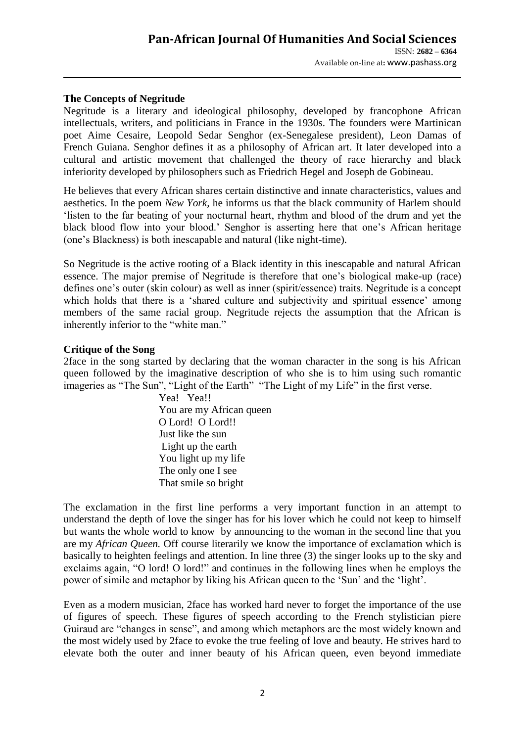### **The Concepts of Negritude**

Negritude is a literary and ideological philosophy, developed by francophone African intellectuals, writers, and politicians in France in the 1930s. The founders were Martinican poet Aime Cesaire, Leopold Sedar Senghor (ex-Senegalese president), Leon Damas of French Guiana. Senghor defines it as a philosophy of African art. It later developed into a cultural and artistic movement that challenged the theory of race hierarchy and black inferiority developed by philosophers such as Friedrich Hegel and Joseph de Gobineau.

He believes that every African shares certain distinctive and innate characteristics, values and aesthetics. In the poem *New York,* he informs us that the black community of Harlem should "listen to the far beating of your nocturnal heart, rhythm and blood of the drum and yet the black blood flow into your blood." Senghor is asserting here that one"s African heritage (one"s Blackness) is both inescapable and natural (like night-time).

So Negritude is the active rooting of a Black identity in this inescapable and natural African essence. The major premise of Negritude is therefore that one"s biological make-up (race) defines one's outer (skin colour) as well as inner (spirit/essence) traits. Negritude is a concept which holds that there is a 'shared culture and subjectivity and spiritual essence' among members of the same racial group. Negritude rejects the assumption that the African is inherently inferior to the "white man."

### **Critique of the Song**

2face in the song started by declaring that the woman character in the song is his African queen followed by the imaginative description of who she is to him using such romantic imageries as "The Sun", "Light of the Earth" "The Light of my Life" in the first verse.

Yea! Yea!! You are my African queen O Lord! O Lord!! Just like the sun Light up the earth You light up my life The only one I see That smile so bright

The exclamation in the first line performs a very important function in an attempt to understand the depth of love the singer has for his lover which he could not keep to himself but wants the whole world to know by announcing to the woman in the second line that you are my *African Queen.* Off course literarily we know the importance of exclamation which is basically to heighten feelings and attention. In line three (3) the singer looks up to the sky and exclaims again, "O lord! O lord!" and continues in the following lines when he employs the power of simile and metaphor by liking his African queen to the "Sun" and the "light".

Even as a modern musician, 2face has worked hard never to forget the importance of the use of figures of speech. These figures of speech according to the French stylistician piere Guiraud are "changes in sense", and among which metaphors are the most widely known and the most widely used by 2face to evoke the true feeling of love and beauty. He strives hard to elevate both the outer and inner beauty of his African queen, even beyond immediate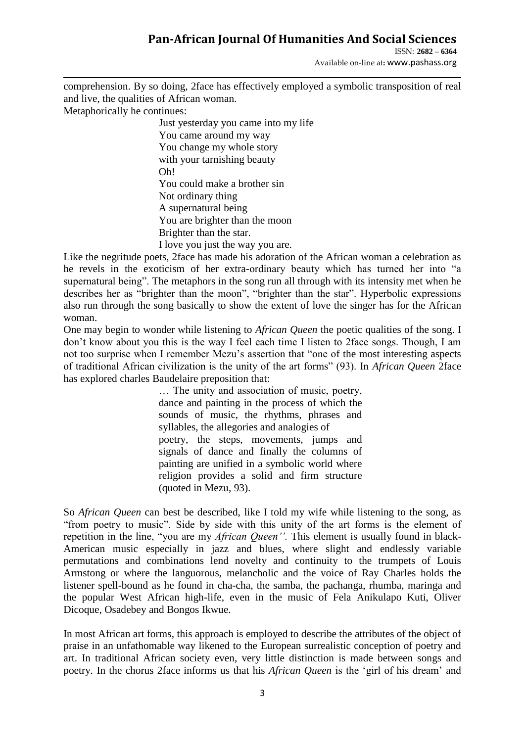# **Pan-African Journal Of Humanities And Social Sciences**

ISSN: **2682 – 6364**

Available on-line at**:** www.pashass.org

comprehension. By so doing, 2face has effectively employed a symbolic transposition of real and live, the qualities of African woman.

Metaphorically he continues:

Just yesterday you came into my life You came around my way You change my whole story with your tarnishing beauty Oh! You could make a brother sin Not ordinary thing A supernatural being You are brighter than the moon Brighter than the star. I love you just the way you are.

Like the negritude poets, 2face has made his adoration of the African woman a celebration as he revels in the exoticism of her extra-ordinary beauty which has turned her into "a supernatural being". The metaphors in the song run all through with its intensity met when he describes her as "brighter than the moon", "brighter than the star". Hyperbolic expressions also run through the song basically to show the extent of love the singer has for the African woman.

One may begin to wonder while listening to *African Queen* the poetic qualities of the song. I don"t know about you this is the way I feel each time I listen to 2face songs. Though, I am not too surprise when I remember Mezu"s assertion that "one of the most interesting aspects of traditional African civilization is the unity of the art forms" (93). In *African Queen* 2face has explored charles Baudelaire preposition that:

> … The unity and association of music, poetry, dance and painting in the process of which the sounds of music, the rhythms, phrases and syllables, the allegories and analogies of poetry, the steps, movements, jumps and signals of dance and finally the columns of painting are unified in a symbolic world where religion provides a solid and firm structure (quoted in Mezu, 93).

So *African Queen* can best be described, like I told my wife while listening to the song, as "from poetry to music". Side by side with this unity of the art forms is the element of repetition in the line, "you are my *African Queen''.* This element is usually found in black-American music especially in jazz and blues, where slight and endlessly variable permutations and combinations lend novelty and continuity to the trumpets of Louis Armstong or where the languorous, melancholic and the voice of Ray Charles holds the listener spell-bound as he found in cha-cha, the samba, the pachanga, rhumba, maringa and the popular West African high-life, even in the music of Fela Anikulapo Kuti, Oliver Dicoque, Osadebey and Bongos Ikwue.

In most African art forms, this approach is employed to describe the attributes of the object of praise in an unfathomable way likened to the European surrealistic conception of poetry and art. In traditional African society even, very little distinction is made between songs and poetry. In the chorus 2face informs us that his *African Queen* is the "girl of his dream" and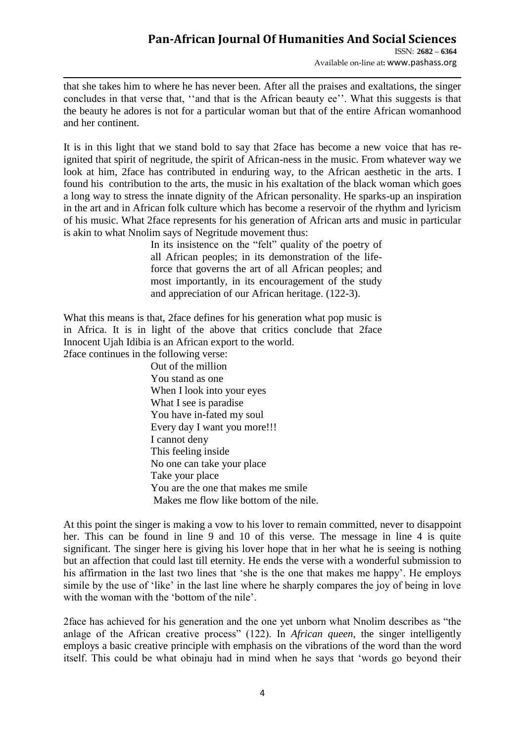Available on-line at**:** www.pashass.org

that she takes him to where he has never been. After all the praises and exaltations, the singer concludes in that verse that, "and that is the African beauty ee". What this suggests is that the beauty he adores is not for a particular woman but that of the entire African womanhood and her continent.

It is in this light that we stand bold to say that 2face has become a new voice that has reignited that spirit of negritude, the spirit of African-ness in the music. From whatever way we look at him, 2face has contributed in enduring way, to the African aesthetic in the arts. I found his contribution to the arts, the music in his exaltation of the black woman which goes a long way to stress the innate dignity of the African personality. He sparks-up an inspiration in the art and in African folk culture which has become a reservoir of the rhythm and lyricism of his music. What 2face represents for his generation of African arts and music in particular is akin to what Nnolim says of Negritude movement thus:

> In its insistence on the "felt" quality of the poetry of all African peoples; in its demonstration of the lifeforce that governs the art of all African peoples; and most importantly, in its encouragement of the study and appreciation of our African heritage. (122-3).

What this means is that, 2face defines for his generation what pop music is in Africa. It is in light of the above that critics conclude that 2face Innocent Ujah Idibia is an African export to the world. 2face continues in the following verse:

Out of the million You stand as one When I look into your eyes What I see is paradise You have in-fated my soul Every day I want you more!!! I cannot deny This feeling inside No one can take your place Take your place You are the one that makes me smile Makes me flow like bottom of the nile.

At this point the singer is making a vow to his lover to remain committed, never to disappoint her. This can be found in line 9 and 10 of this verse. The message in line 4 is quite significant. The singer here is giving his lover hope that in her what he is seeing is nothing but an affection that could last till eternity. He ends the verse with a wonderful submission to his affirmation in the last two lines that "she is the one that makes me happy". He employs simile by the use of "like" in the last line where he sharply compares the joy of being in love with the woman with the 'bottom of the nile'.

2face has achieved for his generation and the one yet unborn what Nnolim describes as "the anlage of the African creative process" (122). In *African queen*, the singer intelligently employs a basic creative principle with emphasis on the vibrations of the word than the word itself. This could be what obinaju had in mind when he says that "words go beyond their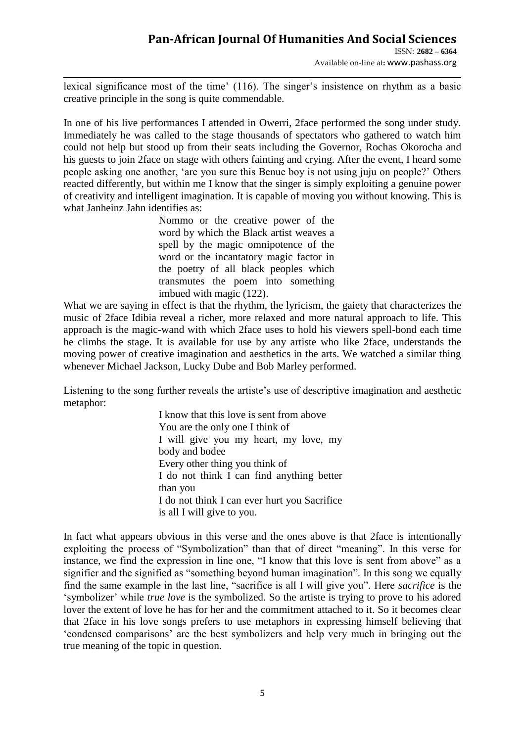ISSN: **2682 – 6364** Available on-line at**:** www.pashass.org

lexical significance most of the time' (116). The singer's insistence on rhythm as a basic creative principle in the song is quite commendable.

In one of his live performances I attended in Owerri, 2face performed the song under study. Immediately he was called to the stage thousands of spectators who gathered to watch him could not help but stood up from their seats including the Governor, Rochas Okorocha and his guests to join 2face on stage with others fainting and crying. After the event, I heard some people asking one another, "are you sure this Benue boy is not using juju on people?" Others reacted differently, but within me I know that the singer is simply exploiting a genuine power of creativity and intelligent imagination. It is capable of moving you without knowing. This is what Janheinz Jahn identifies as:

> Nommo or the creative power of the word by which the Black artist weaves a spell by the magic omnipotence of the word or the incantatory magic factor in the poetry of all black peoples which transmutes the poem into something imbued with magic (122).

What we are saying in effect is that the rhythm, the lyricism, the gaiety that characterizes the music of 2face Idibia reveal a richer, more relaxed and more natural approach to life. This approach is the magic-wand with which 2face uses to hold his viewers spell-bond each time he climbs the stage. It is available for use by any artiste who like 2face, understands the moving power of creative imagination and aesthetics in the arts. We watched a similar thing whenever Michael Jackson, Lucky Dube and Bob Marley performed.

Listening to the song further reveals the artiste"s use of descriptive imagination and aesthetic metaphor:

> I know that this love is sent from above You are the only one I think of I will give you my heart, my love, my body and bodee Every other thing you think of I do not think I can find anything better than you I do not think I can ever hurt you Sacrifice is all I will give to you.

In fact what appears obvious in this verse and the ones above is that 2face is intentionally exploiting the process of "Symbolization" than that of direct "meaning". In this verse for instance, we find the expression in line one, "I know that this love is sent from above" as a signifier and the signified as "something beyond human imagination". In this song we equally find the same example in the last line, "sacrifice is all I will give you". Here *sacrifice* is the "symbolizer" while *true love* is the symbolized. So the artiste is trying to prove to his adored lover the extent of love he has for her and the commitment attached to it. So it becomes clear that 2face in his love songs prefers to use metaphors in expressing himself believing that "condensed comparisons" are the best symbolizers and help very much in bringing out the true meaning of the topic in question.